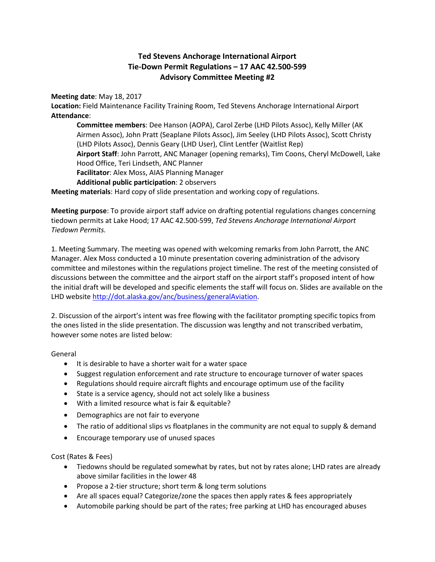## **Ted Stevens Anchorage International Airport Tie-Down Permit Regulations – 17 AAC 42.500-599 Advisory Committee Meeting #2**

**Meeting date**: May 18, 2017

**Location:** Field Maintenance Facility Training Room, Ted Stevens Anchorage International Airport **Attendance**:

**Committee members**: Dee Hanson (AOPA), Carol Zerbe (LHD Pilots Assoc), Kelly Miller (AK Airmen Assoc), John Pratt (Seaplane Pilots Assoc), Jim Seeley (LHD Pilots Assoc), Scott Christy (LHD Pilots Assoc), Dennis Geary (LHD User), Clint Lentfer (Waitlist Rep) **Airport Staff**: John Parrott, ANC Manager (opening remarks), Tim Coons, Cheryl McDowell, Lake Hood Office, Teri Lindseth, ANC Planner **Facilitator**: Alex Moss, AIAS Planning Manager **Additional public participation**: 2 observers

**Meeting materials**: Hard copy of slide presentation and working copy of regulations.

**Meeting purpose**: To provide airport staff advice on drafting potential regulations changes concerning tiedown permits at Lake Hood; 17 AAC 42.500-599, *Ted Stevens Anchorage International Airport Tiedown Permits.*

1. Meeting Summary. The meeting was opened with welcoming remarks from John Parrott, the ANC Manager. Alex Moss conducted a 10 minute presentation covering administration of the advisory committee and milestones within the regulations project timeline. The rest of the meeting consisted of discussions between the committee and the airport staff on the airport staff's proposed intent of how the initial draft will be developed and specific elements the staff will focus on. Slides are available on the LHD website [http://dot.alaska.gov/anc/business/generalAviation.](http://dot.alaska.gov/anc/business/generalAviation)

2. Discussion of the airport's intent was free flowing with the facilitator prompting specific topics from the ones listed in the slide presentation. The discussion was lengthy and not transcribed verbatim, however some notes are listed below:

General

- It is desirable to have a shorter wait for a water space
- Suggest regulation enforcement and rate structure to encourage turnover of water spaces
- Regulations should require aircraft flights and encourage optimum use of the facility
- State is a service agency, should not act solely like a business
- With a limited resource what is fair & equitable?
- Demographics are not fair to everyone
- The ratio of additional slips vs floatplanes in the community are not equal to supply & demand
- Encourage temporary use of unused spaces

Cost (Rates & Fees)

- Tiedowns should be regulated somewhat by rates, but not by rates alone; LHD rates are already above similar facilities in the lower 48
- Propose a 2-tier structure; short term & long term solutions
- Are all spaces equal? Categorize/zone the spaces then apply rates & fees appropriately
- Automobile parking should be part of the rates; free parking at LHD has encouraged abuses